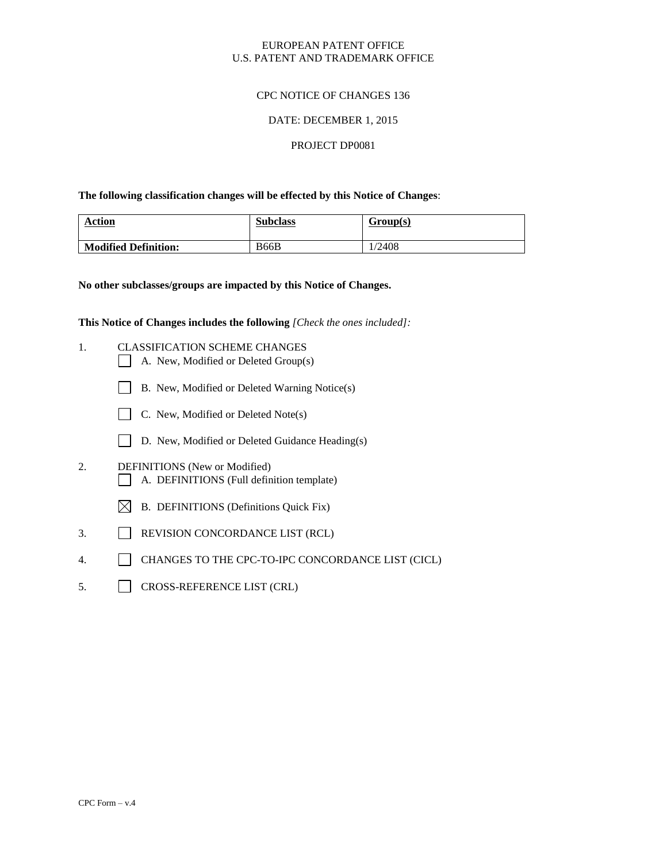#### EUROPEAN PATENT OFFICE U.S. PATENT AND TRADEMARK OFFICE

## CPC NOTICE OF CHANGES 136

#### DATE: DECEMBER 1, 2015

#### PROJECT DP0081

**The following classification changes will be effected by this Notice of Changes**:

| <b>Action</b>               | <b>Subclass</b> | Group(s) |
|-----------------------------|-----------------|----------|
| <b>Modified Definition:</b> | <b>B66B</b>     | 1/2408   |

**No other subclasses/groups are impacted by this Notice of Changes.**

**This Notice of Changes includes the following** *[Check the ones included]:*

- 1. CLASSIFICATION SCHEME CHANGES
	- A. New, Modified or Deleted Group(s)
	- B. New, Modified or Deleted Warning Notice(s)
	- C. New, Modified or Deleted Note(s)
	- D. New, Modified or Deleted Guidance Heading(s)
- 2. DEFINITIONS (New or Modified) A. DEFINITIONS (Full definition template)
	- $\boxtimes$  B. DEFINITIONS (Definitions Quick Fix)
- 3. REVISION CONCORDANCE LIST (RCL)
- 4. CHANGES TO THE CPC-TO-IPC CONCORDANCE LIST (CICL)
- 5. CROSS-REFERENCE LIST (CRL)